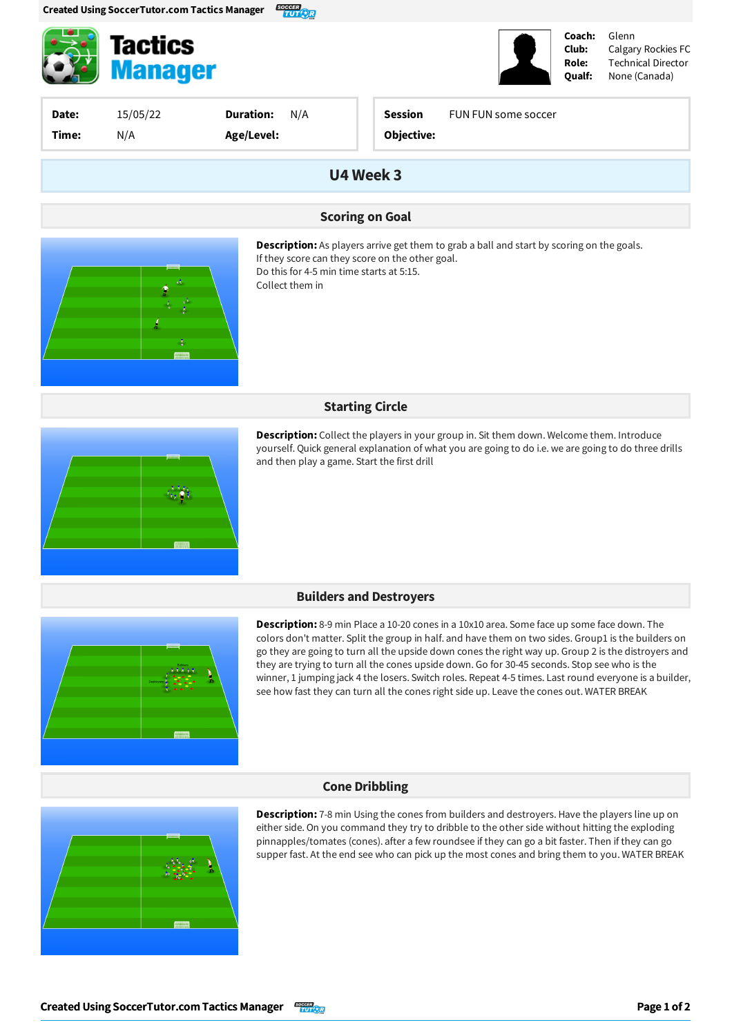

**Tactics Manager** 



Glenn Calgary Rockies FC Technical Director None(Canada)

| Date:<br>Time: | 15/05/22<br>N/A | <b>Duration:</b><br>N/A<br>Age/Level: | <b>Session</b><br>FUN FUN some soccer<br>Objective:                                                                                                |
|----------------|-----------------|---------------------------------------|----------------------------------------------------------------------------------------------------------------------------------------------------|
|                |                 |                                       | U4 Week 3                                                                                                                                          |
|                |                 |                                       | <b>Scoring on Goal</b>                                                                                                                             |
|                |                 |                                       | <b>Description:</b> As players arrive get them to grab a ball and start by scoring on the goals.<br>If they score can they score on the other goal |

If they score can they score on the other goal. Do this for 4-5 min time starts at 5:15. Collect them in

### **Starting Circle**



**Description:** Collect the players in your group in. Sit them down. Welcome them. Introduce yourself. Quick general explanation of what you are going to do i.e. we are going to do three drills and then play a game. Start the first drill

### **Builders and Destroyers**



**Description:** 8-9 min Place a 10-20 cones in a 10x10 area. Some face up some face down. The colors don't matter. Split the group in half. and have them on two sides. Group1 is the builders on go they are going to turn all the upside down cones the right way up. Group 2 is the distroyers and they are trying to turn all the cones upside down. Go for 30-45 seconds. Stop see who is the winner, 1 jumping jack 4 the losers. Switch roles. Repeat 4-5 times. Last round everyone is a builder, see how fast they can turn all the cones right side up. Leave the cones out. WATER BREAK

#### **Cone Dribbling**



**Description:** 7-8 min Using the cones from builders and destroyers. Have the players line up on either side. On you command they try to dribble to the other side without hitting the exploding pinnapples/tomates (cones). after a few roundsee if they can go a bit faster. Then if they can go supper fast. At the end see who can pick up the most cones and bring them to you. WATER BREAK